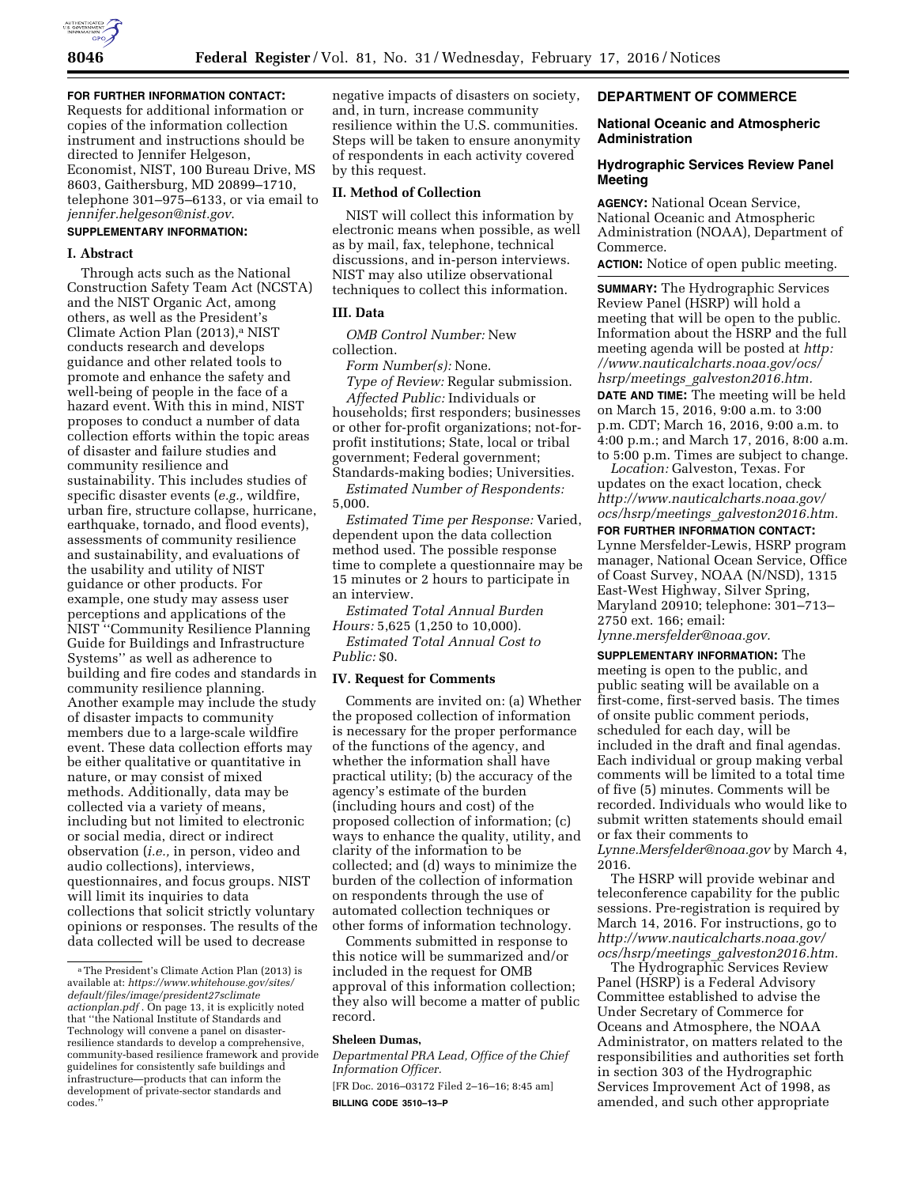

**FOR FURTHER INFORMATION CONTACT:** 

Requests for additional information or copies of the information collection instrument and instructions should be directed to Jennifer Helgeson, Economist, NIST, 100 Bureau Drive, MS 8603, Gaithersburg, MD 20899–1710, telephone 301–975–6133, or via email to *[jennifer.helgeson@nist.gov](mailto:jennifer.helgeson@nist.gov)*.

# **SUPPLEMENTARY INFORMATION:**

## **I. Abstract**

Through acts such as the National Construction Safety Team Act (NCSTA) and the NIST Organic Act, among others, as well as the President's Climate Action Plan (2013),<sup>a</sup> NIST conducts research and develops guidance and other related tools to promote and enhance the safety and well-being of people in the face of a hazard event. With this in mind, NIST proposes to conduct a number of data collection efforts within the topic areas of disaster and failure studies and community resilience and sustainability. This includes studies of specific disaster events (*e.g.,* wildfire, urban fire, structure collapse, hurricane, earthquake, tornado, and flood events), assessments of community resilience and sustainability, and evaluations of the usability and utility of NIST guidance or other products. For example, one study may assess user perceptions and applications of the NIST ''Community Resilience Planning Guide for Buildings and Infrastructure Systems'' as well as adherence to building and fire codes and standards in community resilience planning. Another example may include the study of disaster impacts to community members due to a large-scale wildfire event. These data collection efforts may be either qualitative or quantitative in nature, or may consist of mixed methods. Additionally, data may be collected via a variety of means, including but not limited to electronic or social media, direct or indirect observation (*i.e.,* in person, video and audio collections), interviews, questionnaires, and focus groups. NIST will limit its inquiries to data collections that solicit strictly voluntary opinions or responses. The results of the data collected will be used to decrease

negative impacts of disasters on society, and, in turn, increase community resilience within the U.S. communities. Steps will be taken to ensure anonymity of respondents in each activity covered by this request.

### **II. Method of Collection**

NIST will collect this information by electronic means when possible, as well as by mail, fax, telephone, technical discussions, and in-person interviews. NIST may also utilize observational techniques to collect this information.

## **III. Data**

*OMB Control Number:* New collection.

*Form Number(s):* None.

*Type of Review:* Regular submission. *Affected Public:* Individuals or

households; first responders; businesses or other for-profit organizations; not-forprofit institutions; State, local or tribal government; Federal government; Standards-making bodies; Universities.

*Estimated Number of Respondents:*  5,000.

*Estimated Time per Response:* Varied, dependent upon the data collection method used. The possible response time to complete a questionnaire may be 15 minutes or 2 hours to participate in an interview.

*Estimated Total Annual Burden Hours:* 5,625 (1,250 to 10,000).

*Estimated Total Annual Cost to Public:* \$0.

### **IV. Request for Comments**

Comments are invited on: (a) Whether the proposed collection of information is necessary for the proper performance of the functions of the agency, and whether the information shall have practical utility; (b) the accuracy of the agency's estimate of the burden (including hours and cost) of the proposed collection of information; (c) ways to enhance the quality, utility, and clarity of the information to be collected; and (d) ways to minimize the burden of the collection of information on respondents through the use of automated collection techniques or other forms of information technology.

Comments submitted in response to this notice will be summarized and/or included in the request for OMB approval of this information collection; they also will become a matter of public record.

### **Sheleen Dumas,**

*Departmental PRA Lead, Office of the Chief Information Officer.*  [FR Doc. 2016–03172 Filed 2–16–16; 8:45 am]

**BILLING CODE 3510–13–P** 

## **DEPARTMENT OF COMMERCE**

# **National Oceanic and Atmospheric Administration**

## **Hydrographic Services Review Panel Meeting**

**AGENCY:** National Ocean Service, National Oceanic and Atmospheric Administration (NOAA), Department of Commerce.

**ACTION:** Notice of open public meeting.

**SUMMARY:** The Hydrographic Services Review Panel (HSRP) will hold a meeting that will be open to the public. Information about the HSRP and the full meeting agenda will be posted at *[http:](http: //www.nauticalcharts.noaa.gov/ocs/hsrp/meetings_galveston2016.htm)  [//www.nauticalcharts.noaa.gov/ocs/](http: //www.nauticalcharts.noaa.gov/ocs/hsrp/meetings_galveston2016.htm)  hsrp/meetings*\_*galveston2016.htm.* 

**DATE AND TIME:** The meeting will be held on March 15, 2016, 9:00 a.m. to 3:00 p.m. CDT; March 16, 2016, 9:00 a.m. to 4:00 p.m.; and March 17, 2016, 8:00 a.m. to 5:00 p.m. Times are subject to change.

*Location:* Galveston, Texas. For updates on the exact location, check *[http://www.nauticalcharts.noaa.gov/](http://www.nauticalcharts.noaa.gov/ocs/hsrp/meetings_galveston2016.htm) ocs/hsrp/meetings*\_*[galveston2016.htm.](http://www.nauticalcharts.noaa.gov/ocs/hsrp/meetings_galveston2016.htm)* 

# **FOR FURTHER INFORMATION CONTACT:**

Lynne Mersfelder-Lewis, HSRP program manager, National Ocean Service, Office of Coast Survey, NOAA (N/NSD), 1315 East-West Highway, Silver Spring, Maryland 20910; telephone: 301–713– 2750 ext. 166; email:

*[lynne.mersfelder@noaa.gov.](mailto:lynne.mersfelder@noaa.gov)* 

**SUPPLEMENTARY INFORMATION:** The meeting is open to the public, and public seating will be available on a first-come, first-served basis. The times of onsite public comment periods, scheduled for each day, will be included in the draft and final agendas. Each individual or group making verbal comments will be limited to a total time of five (5) minutes. Comments will be recorded. Individuals who would like to submit written statements should email or fax their comments to

*[Lynne.Mersfelder@noaa.gov](mailto:Lynne.Mersfelder@noaa.gov)* by March 4, 2016.

The HSRP will provide webinar and teleconference capability for the public sessions. Pre-registration is required by March 14, 2016. For instructions, go to *[http://www.nauticalcharts.noaa.gov/](http://www.nauticalcharts.noaa.gov/ocs/hsrp/meetings_galveston2016.htm) ocs/hsrp/meetings*\_*[galveston2016.htm.](http://www.nauticalcharts.noaa.gov/ocs/hsrp/meetings_galveston2016.htm)* 

The Hydrographic Services Review Panel (HSRP) is a Federal Advisory Committee established to advise the Under Secretary of Commerce for Oceans and Atmosphere, the NOAA Administrator, on matters related to the responsibilities and authorities set forth in section 303 of the Hydrographic Services Improvement Act of 1998, as amended, and such other appropriate

aThe President's Climate Action Plan (2013) is available at: *[https://www.whitehouse.gov/sites/](https://www.whitehouse.gov/sites/default/files/image/president27sclimateactionplan.pdf) [default/files/image/president27sclimate](https://www.whitehouse.gov/sites/default/files/image/president27sclimateactionplan.pdf) [actionplan.pdf](https://www.whitehouse.gov/sites/default/files/image/president27sclimateactionplan.pdf)* . On page 13, it is explicitly noted that ''the National Institute of Standards and Technology will convene a panel on disasterresilience standards to develop a comprehensive, community-based resilience framework and provide guidelines for consistently safe buildings and infrastructure—products that can inform the development of private-sector standards and codes.